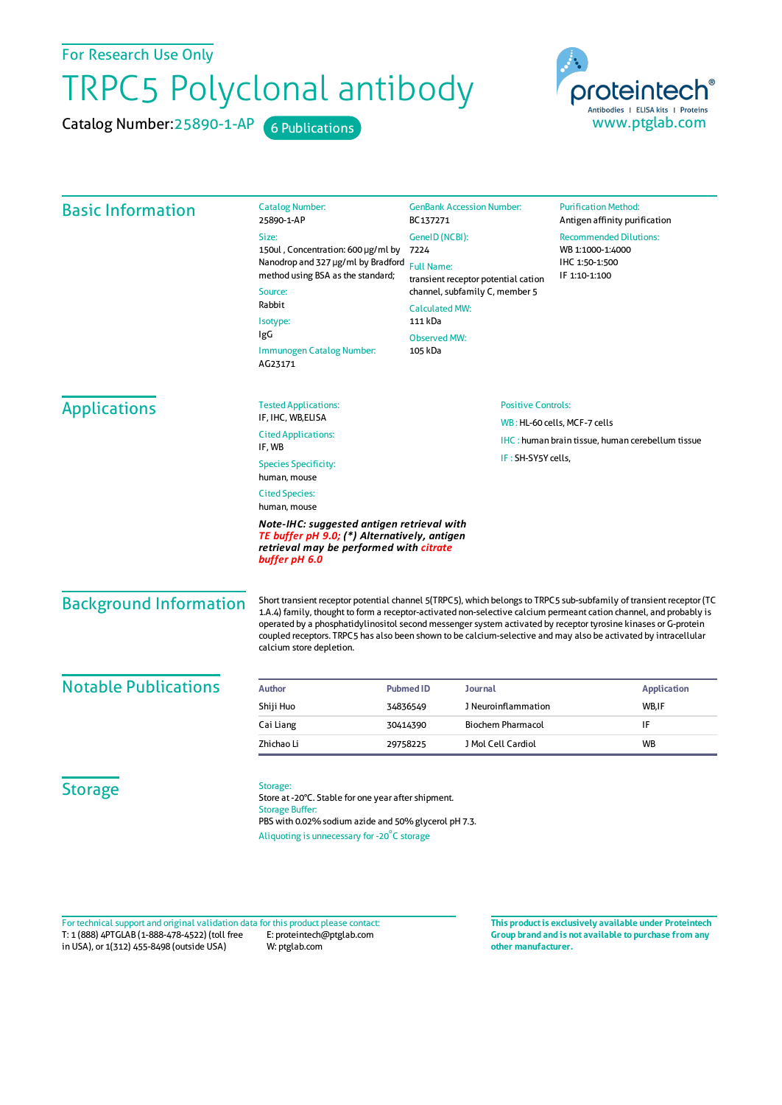For Research Use Only

## TRPC5 Polyclonal antibody

Catalog Number: 25890-1-AP 6 Publications



| <b>Basic Information</b>                                                                                                                               | <b>Catalog Number:</b><br>25890-1-AP                                                                                                                                                                                                                                                                                                                                                                                                                                                                       | <b>GenBank Accession Number:</b><br>BC137271<br>GeneID (NCBI):<br>7224<br><b>Full Name:</b><br>transient receptor potential cation<br>channel, subfamily C, member 5<br><b>Calculated MW:</b><br>111 kDa |  | <b>Purification Method:</b><br>Antigen affinity purification                         |                                |                                                         |                           |                              |  |
|--------------------------------------------------------------------------------------------------------------------------------------------------------|------------------------------------------------------------------------------------------------------------------------------------------------------------------------------------------------------------------------------------------------------------------------------------------------------------------------------------------------------------------------------------------------------------------------------------------------------------------------------------------------------------|----------------------------------------------------------------------------------------------------------------------------------------------------------------------------------------------------------|--|--------------------------------------------------------------------------------------|--------------------------------|---------------------------------------------------------|---------------------------|------------------------------|--|
|                                                                                                                                                        | Size:                                                                                                                                                                                                                                                                                                                                                                                                                                                                                                      |                                                                                                                                                                                                          |  | <b>Recommended Dilutions:</b><br>WB 1:1000-1:4000<br>IHC 1:50-1:500<br>IF 1:10-1:100 |                                |                                                         |                           |                              |  |
|                                                                                                                                                        | 150ul, Concentration: 600 µg/ml by<br>Nanodrop and 327 µg/ml by Bradford<br>method using BSA as the standard;<br>Source:<br>Rabbit<br>Isotype:<br>IgG<br><b>Immunogen Catalog Number:</b><br>AG23171                                                                                                                                                                                                                                                                                                       |                                                                                                                                                                                                          |  |                                                                                      |                                |                                                         |                           |                              |  |
|                                                                                                                                                        |                                                                                                                                                                                                                                                                                                                                                                                                                                                                                                            |                                                                                                                                                                                                          |  |                                                                                      | <b>Observed MW:</b><br>105 kDa |                                                         |                           |                              |  |
|                                                                                                                                                        |                                                                                                                                                                                                                                                                                                                                                                                                                                                                                                            |                                                                                                                                                                                                          |  |                                                                                      |                                |                                                         |                           |                              |  |
|                                                                                                                                                        |                                                                                                                                                                                                                                                                                                                                                                                                                                                                                                            |                                                                                                                                                                                                          |  |                                                                                      | <b>Applications</b>            | <b>Tested Applications:</b>                             | <b>Positive Controls:</b> |                              |  |
|                                                                                                                                                        |                                                                                                                                                                                                                                                                                                                                                                                                                                                                                                            |                                                                                                                                                                                                          |  |                                                                                      |                                | IF, IHC, WB, ELISA                                      |                           | WB: HL-60 cells, MCF-7 cells |  |
|                                                                                                                                                        |                                                                                                                                                                                                                                                                                                                                                                                                                                                                                                            | <b>Cited Applications:</b><br>IF, WB                                                                                                                                                                     |  |                                                                                      |                                | <b>IHC:</b> human brain tissue, human cerebellum tissue |                           |                              |  |
|                                                                                                                                                        |                                                                                                                                                                                                                                                                                                                                                                                                                                                                                                            | <b>Species Specificity:</b><br>human, mouse                                                                                                                                                              |  | IF: SH-SY5Y cells,                                                                   |                                |                                                         |                           |                              |  |
| <b>Cited Species:</b><br>human, mouse                                                                                                                  |                                                                                                                                                                                                                                                                                                                                                                                                                                                                                                            |                                                                                                                                                                                                          |  |                                                                                      |                                |                                                         |                           |                              |  |
| Note-IHC: suggested antigen retrieval with<br>TE buffer pH 9.0; (*) Alternatively, antigen<br>retrieval may be performed with citrate<br>buffer pH 6.0 |                                                                                                                                                                                                                                                                                                                                                                                                                                                                                                            |                                                                                                                                                                                                          |  |                                                                                      |                                |                                                         |                           |                              |  |
| <b>Background Information</b>                                                                                                                          | Short transient receptor potential channel 5(TRPC5), which belongs to TRPC5 sub-subfamily of transient receptor (TC<br>1.A.4) family, thought to form a receptor-activated non-selective calcium permeant cation channel, and probably is<br>operated by a phosphatidylinositol second messenger system activated by receptor tyrosine kinases or G-protein<br>coupled receptors. TRPC5 has also been shown to be calcium-selective and may also be activated by intracellular<br>calcium store depletion. |                                                                                                                                                                                                          |  |                                                                                      |                                |                                                         |                           |                              |  |
| <b>Notable Publications</b>                                                                                                                            | <b>Author</b>                                                                                                                                                                                                                                                                                                                                                                                                                                                                                              | <b>Journal</b><br><b>Pubmed ID</b>                                                                                                                                                                       |  | <b>Application</b>                                                                   |                                |                                                         |                           |                              |  |
|                                                                                                                                                        | Shiji Huo                                                                                                                                                                                                                                                                                                                                                                                                                                                                                                  | J Neuroinflammation<br>34836549                                                                                                                                                                          |  | WB,IF                                                                                |                                |                                                         |                           |                              |  |
|                                                                                                                                                        | Cai Liang                                                                                                                                                                                                                                                                                                                                                                                                                                                                                                  | <b>Biochem Pharmacol</b><br>30414390                                                                                                                                                                     |  | IF                                                                                   |                                |                                                         |                           |                              |  |
|                                                                                                                                                        | Zhichao Li                                                                                                                                                                                                                                                                                                                                                                                                                                                                                                 | J Mol Cell Cardiol<br>29758225                                                                                                                                                                           |  | <b>WB</b>                                                                            |                                |                                                         |                           |                              |  |
| <b>Storage</b>                                                                                                                                         | Storage:<br>Store at -20°C. Stable for one year after shipment.<br><b>Storage Buffer:</b><br>PBS with 0.02% sodium azide and 50% glycerol pH 7.3.<br>Aliquoting is unnecessary for -20°C storage                                                                                                                                                                                                                                                                                                           |                                                                                                                                                                                                          |  |                                                                                      |                                |                                                         |                           |                              |  |

T: 1 (888) 4PTGLAB (1-888-478-4522) (toll free in USA), or 1(312) 455-8498 (outside USA) E: proteintech@ptglab.com W: ptglab.com Fortechnical support and original validation data forthis product please contact: **This productis exclusively available under Proteintech**

**Group brand and is not available to purchase from any other manufacturer.**